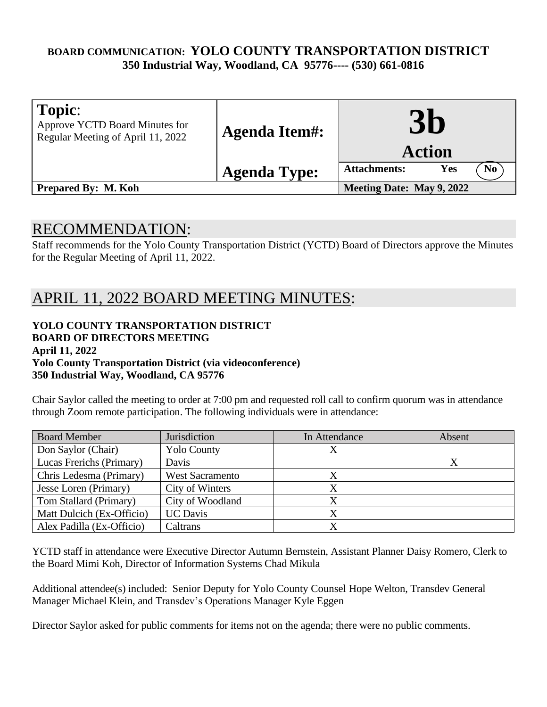## **BOARD COMMUNICATION: YOLO COUNTY TRANSPORTATION DISTRICT 350 Industrial Way, Woodland, CA 95776---- (530) 661-0816**

| Topic:<br>Approve YCTD Board Minutes for<br>Regular Meeting of April 11, 2022 | <b>Agenda Item#:</b> | $\mathbf{30}$<br><b>Action</b>               |
|-------------------------------------------------------------------------------|----------------------|----------------------------------------------|
|                                                                               | <b>Agenda Type:</b>  | N <sub>0</sub><br><b>Attachments:</b><br>Yes |
| <b>Prepared By: M. Koh</b>                                                    |                      | Meeting Date: May 9, 2022                    |

# RECOMMENDATION:

Staff recommends for the Yolo County Transportation District (YCTD) Board of Directors approve the Minutes for the Regular Meeting of April 11, 2022.

# APRIL 11, 2022 BOARD MEETING MINUTES:

## **YOLO COUNTY TRANSPORTATION DISTRICT BOARD OF DIRECTORS MEETING April 11, 2022**

**Yolo County Transportation District (via videoconference)** 

#### **350 Industrial Way, Woodland, CA 95776**

Chair Saylor called the meeting to order at 7:00 pm and requested roll call to confirm quorum was in attendance through Zoom remote participation. The following individuals were in attendance:

| <b>Board Member</b>       | Jurisdiction           | In Attendance | Absent |
|---------------------------|------------------------|---------------|--------|
| Don Saylor (Chair)        | <b>Yolo County</b>     |               |        |
| Lucas Frerichs (Primary)  | Davis                  |               |        |
| Chris Ledesma (Primary)   | <b>West Sacramento</b> |               |        |
| Jesse Loren (Primary)     | City of Winters        | Х             |        |
| Tom Stallard (Primary)    | City of Woodland       |               |        |
| Matt Dulcich (Ex-Officio) | <b>UC</b> Davis        | Χ             |        |
| Alex Padilla (Ex-Officio) | Caltrans               |               |        |

YCTD staff in attendance were Executive Director Autumn Bernstein, Assistant Planner Daisy Romero, Clerk to the Board Mimi Koh, Director of Information Systems Chad Mikula

Additional attendee(s) included: Senior Deputy for Yolo County Counsel Hope Welton, Transdev General Manager Michael Klein, and Transdev's Operations Manager Kyle Eggen

Director Saylor asked for public comments for items not on the agenda; there were no public comments.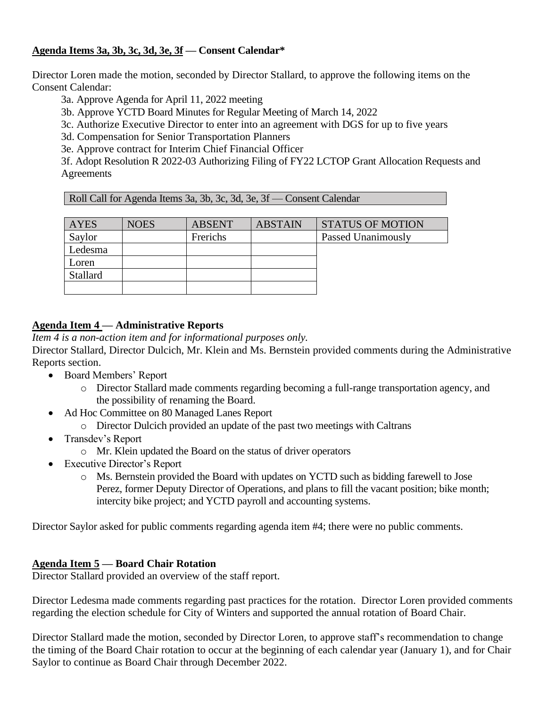#### **Agenda Items 3a, 3b, 3c, 3d, 3e, 3f — Consent Calendar\***

Director Loren made the motion, seconded by Director Stallard, to approve the following items on the Consent Calendar:

3a. Approve Agenda for April 11, 2022 meeting

3b. Approve YCTD Board Minutes for Regular Meeting of March 14, 2022

3c. Authorize Executive Director to enter into an agreement with DGS for up to five years

3d. Compensation for Senior Transportation Planners

3e. Approve contract for Interim Chief Financial Officer

3f. Adopt Resolution R 2022-03 Authorizing Filing of FY22 LCTOP Grant Allocation Requests and Agreements

| Roll Call for Agenda Items 3a, 3b, 3c, 3d, 3e, 3f — Consent Calendar |  |  |
|----------------------------------------------------------------------|--|--|
|                                                                      |  |  |

| <b>AYES</b> | <b>NOES</b> | <b>ABSENT</b> | <b>ABSTAIN</b> | <b>STATUS OF MOTION</b>   |
|-------------|-------------|---------------|----------------|---------------------------|
| Saylor      |             | Frerichs      |                | <b>Passed Unanimously</b> |
| Ledesma     |             |               |                |                           |
| Loren       |             |               |                |                           |
| Stallard    |             |               |                |                           |
|             |             |               |                |                           |

#### **Agenda Item 4 — Administrative Reports**

*Item 4 is a non-action item and for informational purposes only.*

Director Stallard, Director Dulcich, Mr. Klein and Ms. Bernstein provided comments during the Administrative Reports section.

- Board Members' Report
	- o Director Stallard made comments regarding becoming a full-range transportation agency, and the possibility of renaming the Board.
- Ad Hoc Committee on 80 Managed Lanes Report
	- o Director Dulcich provided an update of the past two meetings with Caltrans
- Transdev's Report
	- o Mr. Klein updated the Board on the status of driver operators
- Executive Director's Report
	- o Ms. Bernstein provided the Board with updates on YCTD such as bidding farewell to Jose Perez, former Deputy Director of Operations, and plans to fill the vacant position; bike month; intercity bike project; and YCTD payroll and accounting systems.

Director Saylor asked for public comments regarding agenda item #4; there were no public comments.

#### **Agenda Item 5 — Board Chair Rotation**

Director Stallard provided an overview of the staff report.

Director Ledesma made comments regarding past practices for the rotation. Director Loren provided comments regarding the election schedule for City of Winters and supported the annual rotation of Board Chair.

Director Stallard made the motion, seconded by Director Loren, to approve staff's recommendation to change the timing of the Board Chair rotation to occur at the beginning of each calendar year (January 1), and for Chair Saylor to continue as Board Chair through December 2022.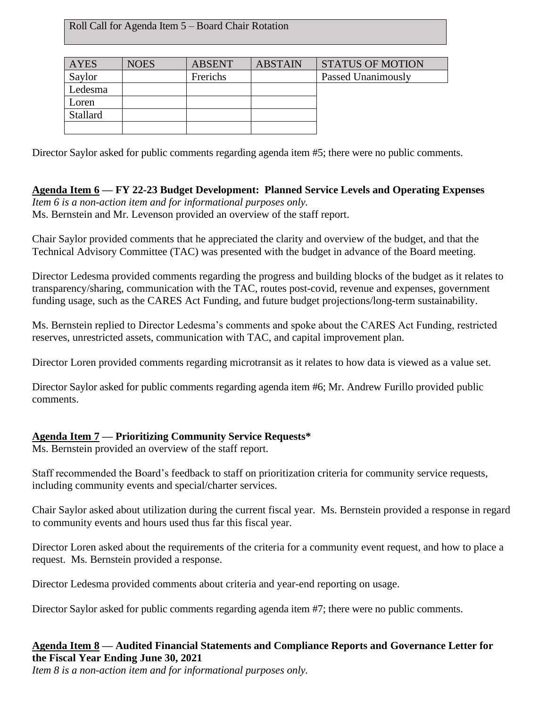Roll Call for Agenda Item 5 – Board Chair Rotation

| AYES     | <b>NOES</b> | <b>ABSENT</b> | <b>ABSTAIN</b> | <b>STATUS OF MOTION</b>   |
|----------|-------------|---------------|----------------|---------------------------|
| Saylor   |             | Frerichs      |                | <b>Passed Unanimously</b> |
| Ledesma  |             |               |                |                           |
| Loren    |             |               |                |                           |
| Stallard |             |               |                |                           |
|          |             |               |                |                           |

Director Saylor asked for public comments regarding agenda item #5; there were no public comments.

**Agenda Item 6 — FY 22-23 Budget Development: Planned Service Levels and Operating Expenses** *Item 6 is a non-action item and for informational purposes only.* Ms. Bernstein and Mr. Levenson provided an overview of the staff report.

Chair Saylor provided comments that he appreciated the clarity and overview of the budget, and that the Technical Advisory Committee (TAC) was presented with the budget in advance of the Board meeting.

Director Ledesma provided comments regarding the progress and building blocks of the budget as it relates to transparency/sharing, communication with the TAC, routes post-covid, revenue and expenses, government funding usage, such as the CARES Act Funding, and future budget projections/long-term sustainability.

Ms. Bernstein replied to Director Ledesma's comments and spoke about the CARES Act Funding, restricted reserves, unrestricted assets, communication with TAC, and capital improvement plan.

Director Loren provided comments regarding microtransit as it relates to how data is viewed as a value set.

Director Saylor asked for public comments regarding agenda item #6; Mr. Andrew Furillo provided public comments.

#### **Agenda Item 7 — Prioritizing Community Service Requests\***

Ms. Bernstein provided an overview of the staff report.

Staff recommended the Board's feedback to staff on prioritization criteria for community service requests, including community events and special/charter services.

Chair Saylor asked about utilization during the current fiscal year. Ms. Bernstein provided a response in regard to community events and hours used thus far this fiscal year.

Director Loren asked about the requirements of the criteria for a community event request, and how to place a request. Ms. Bernstein provided a response.

Director Ledesma provided comments about criteria and year-end reporting on usage.

Director Saylor asked for public comments regarding agenda item #7; there were no public comments.

#### **Agenda Item 8 — Audited Financial Statements and Compliance Reports and Governance Letter for the Fiscal Year Ending June 30, 2021**

*Item 8 is a non-action item and for informational purposes only.*